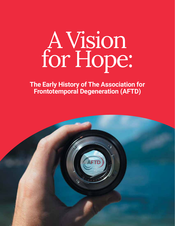**The Early History of The Association for Frontotemporal Degeneration (AFTD)**

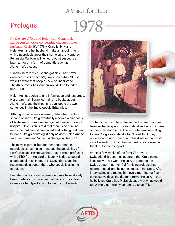### *Prologue*

# 1978

It's the late 1970s, and Helen-Ann Comstock has begun to notice concerning changes in her husband, Craig. It's 1978 – Craig is 44 – and Helen-Ann and her husband make an appointment with a neurologist near their home on the Monterey Peninsula, California. The neurologist suspects a brain tumor or a form of dementia, such as Alzheimer's disease.

"Frankly, before my husband got sick, I had never even heard of Alzheimer's," says Helen-Ann. "It just wasn't a word that people knew or understood." The Alzheimer's Association wouldn't be founded until 1980.

Helen-Ann struggles to find information and resources. Her area's main library contains no books about Alzheimer's, and the most she can locate are two sentences in the Encyclopedia Britannica.

Although Craig is unconcerned, Helen-Ann wants a second opinion. Craig eventually receives a diagnosis of Alzheimer's from a neurologist at a major university hospital. Helen-Ann is told that there is no cure, no medicine that can be prescribed and nothing that can be done. Craig's neurologist only advises Helen-Ann to take him home and "accept a change in lifestyle."

The news is jarring, but another doctor on the neurologist's team also mentions the possibility of Pick's disease. He knows that Craig, a math professor with a PhD from Harvard University, is due to spend a sabbatical at an institute in Switzerland, and he recommends a doctor there who specializes in the condition.

Despite Craig's condition, arrangements have already been made for his Swiss sabbatical, and the entire Comstock family is looking forward to it. Helen-Ann



contacts the institute in Switzerland where Craig has been invited to spend his sabbatical and informs them of these developments. The institute remains willing to give Craig's sabbatical a try. "I don't think they understood much more about this disease than I did," says Helen-Ann. But in the moment, she's relieved and thankful for their support.

Within a few weeks of the family's arrival in Switzerland, it becomes apparent that Craig cannot keep up with his work. Helen-Ann contacts the Swiss doctor that their California neurologist had recommended, and he agrees to examine Craig. After interviewing and testing him every morning for five consecutive days, the doctor informs Helen-Ann that he believed Craig had Pick's disease – or what would today more commonly be referred to as FTD.

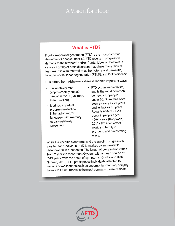#### **What is FTD?**

Frontotemporal degeneration (FTD) is the most common dementia for people under 60. FTD results in progressive damage to the temporal and/or frontal lobes of the brain. It causes a group of brain disorders that share many clinical features. It is also referred to as frontotemporal dementia, frontotemporal lobar degeneration (FTLD), and Pick's disease.

FTD differs from Alzheimer's disease in three important ways:

- It is relatively rare (approximately 60,000 people in the US, vs. more than 5 million).
- It brings a gradual, progressive decline in behavior and/or language, with memory usually relatively preserved.
- FTD occurs earlier in life, and is the most common dementia for people under 60. Onset has been seen as early as 21 years and as late as 80 years. Roughly 60% of cases occur in people aged 45-64 years (Knopman, 2011). FTD can affect work and family in profound and devastating ways.

While the specific symptoms and the specific progression vary for each individual, FTD is marked by an inevitable deterioration in functioning. The length of progression varies from 2 years to more than 20 years, with a mean course o<sup>f</sup> 7-13 years from the onset of symptoms (Onyike and Diehl-Schmid, 2013). FTD predisposes individuals affected to serious complications such as pneumonia, infection, or injury from a fall. Pneumonia is the most common cause of death.

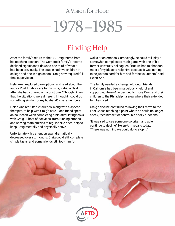# 1978–1985

### Finding Help

After the family's return to the US, Craig retired from his teaching position. The Comstock family's income declined significantly, down to one-third of what it had been previously. The couple had two children in college and one in high school. Craig now required fulltime supervision.

Helen-Ann explored care options, and read about the author Roald Dahl's care for his wife, Patricia Neal, after she had suffered a major stroke. "Though I knew that the situations were different, I thought I could do something similar for my husband," she remembers.

Helen-Ann recruited 25 friends, along with a speech therapist, to help with Craig's care. Each friend spent an hour each week completing brain-stimulating tasks with Craig. A host of activities, from running errands and solving math puzzles to regular bike rides, helped keep Craig mentally and physically active.

Unfortunately, his attention span dramatically decreased over six months. Craig could still complete simple tasks, and some friends still took him for

walks or on errands. Surprisingly, he could still play a somewhat complicated math game with one of his former university colleagues. "But we had to abandon most of my ideas to help him, because it was getting to be just too hard for him and for the volunteers," said Helen-Ann.

The family needed a change. Although friends in California had been marvelously helpful and supportive, Helen-Ann decided to move Craig and their children to the Philadelphia area, where their extended families lived.

Craig's decline continued following their move to the East Coast, reaching a point where he could no longer speak, feed himself or control his bodily functions.

"It was sad to see someone so bright and able continue to decline," Helen-Ann recalls today. "There was nothing we could do to stop it."

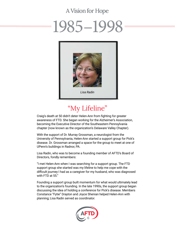## 1985–19



### "My Lifeline"

Craig's death at 50 didn't deter Helen-Ann from fighting for greater awareness of FTD. She began working for the Alzheimer's Association, becoming the Executive Director of the Southeastern Pennsylvania chapter (now known as the organization's Delaware Valley Chapter).

With the support of Dr. Murray Grossman, a neurologist from the University of Pennsylvania, Helen-Ann started a support group for Pick's disease. Dr. Grossman arranged a space for the group to meet at one of UPenn's buildings in Radnor, PA.

Lisa Radin, who was to become a founding member of AFTD's Board of Directors, fondly remembers:

"I met Helen-Ann when I was searching for a support group. The FTD support group she started was my lifeline to help me cope with the difficult journey I had as a caregiver for my husband, who was diagnosed with FTD at 55."

Founding a support group built momentum for what would ultimately lead to the organization's founding. In the late 1990s, the support group began discussing the idea of holding a conference for Pick's disease. Members Constance "Fytie" Drayton and Joyce Shenian helped Helen-Ann with planning; Lisa Radin served as coordinator.

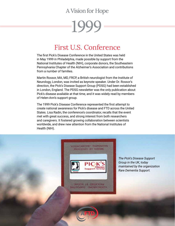# 1999

### First U.S. Conference

The first Pick's Disease Conference in the United States was held in May 1999 in Philadelphia, made possible by support from the National Institutes of Health (NIH), corporate donors, the Southeastern Pennsylvania Chapter of the Alzheimer's Association and contributions from a number of families.

Martin Rossor, MA, MD, FRCP, a British neurologist from the Institute of Neurology, London, was invited as keynote speaker. Under Dr. Rossor's direction, the Pick's Disease Support Group (PDSG) had been established in London, England. The PDSG newsletter was the only publication about Pick's disease available at that time, and it was widely read by members of Helen-Ann's support group.

The 1999 Pick's Disease Conference represented the first attempt to create national awareness for Pick's disease and FTD across the United States. Lisa Radin, the conference's coordinator, recalls that the event met with great success, and strong interest from both researchers and caregivers. It fostered growing collaboration between scientists worldwide, and drew new attention from the National Institutes of Health (NIH).

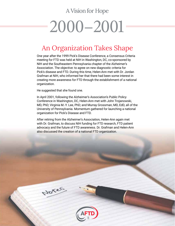# 2000–2001

### An Organization Takes Shape

One year after the 1999 Pick's Disease Conference, a Consensus Criteria meeting for FTD was held at NIH in Washington, DC, co-sponsored by NIH and the Southeastern Pennsylvania chapter of the Alzheimer's Association. The objective: to agree on new diagnostic criteria for Pick's disease and FTD. During this time, Helen-Ann met with Dr. Jordan Grafman at NIH, who informed her that there had been some interest in creating more awareness for FTD through the establishment of a national organization.

He suggested that she found one.

Notes

In April 2001, following the Alzheimer's Association's Public Policy Conference in Washington, DC, Helen-Ann met with John Trojanowski, MD, PhD; Virginia M.-Y. Lee, PhD; and Murray Grossman, MD, EdD, all of the University of Pennsylvania. Momentum gathered for launching a national organization for Pick's Disease and FTD.

After retiring from the Alzheimer's Association, Helen-Ann again met with Dr. Grafman, to discuss NIH funding for FTD research, FTD patient advocacy and the future of FTD awareness. Dr. Grafman and Helen-Ann also discussed the creation of a national FTD organization.

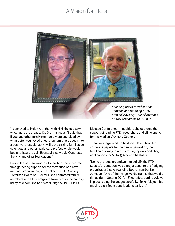

"I conveyed to Helen-Ann that with NIH, the squeaky wheel gets the grease," Dr. Grafman says. "I said that if you and other family members were energized by what befell your loved ones, then turn that tragedy into a positive, prosocial activity like organizing families so scientists and other healthcare professionals would begin to hear the call. Eventually, so would Congress, the NIH and other foundations."

During the next six months, Helen-Ann spent her free time gathering support for the formation of a new national organization, to be called the FTD Society. To form a Board of Directors, she contacted family members and FTD caregivers from across the country, many of whom she had met during the 1999 Pick's

*Founding Board member Kent Jamison and founding AFTD Medical Advisory Council member, Murray Grossman, M.D., Ed.D.*

Disease Conference. In addition, she gathered the support of leading FTD researchers and clinicians to form a Medical Advisory Council.

There was legal work to be done. Helen-Ann filed corporate papers for the new organization, then hired an attorney to aid in crafting bylaws and filing applications for 501(c)(3) nonprofit status.

"Doing the legal groundwork to solidify the FTD Society's reputation was a major asset to the fledgling organization," says founding Board member Kent Jamison. "One of the things we did right is that we did things right. Getting 501(c)(3)-certified, getting bylaws in place, doing the budget carefully… folks felt justified making significant contributions early on."

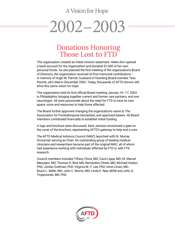# 2002–2003

### Donations Honoring Those Lost to FTD

The organization created an initial mission statement. Helen-Ann opened a bank account for the organization and donated \$1,000 of her own personal funds. As she planned the first meeting of the organization's Board of Directors, the organization received its first memorial contributions – in memory of Hugh M. Parrish, husband of founding Board member Tess Parrish, who died in December 2002. Today, thousands of AFTD donors still drive this same vision for hope.

The organization held its first official Board meeting January 16–17, 2003 in Philadelphia, bringing together current and former care partners, and one neurologist. All were passionate about the need for FTD to have its own space, voice and resources to help those affected.

The Board further approved changing the organization's name to The Association for Frontotemporal Dementias, and approved bylaws. All Board members contributed financially to establish initial funding.

A logo and brochure were discussed. Kent Jamison envisioned a gate on the cover of the brochure, representing AFTD's gateway to help and a cure.

The AFTD Medical Advisory Council (MAC) launched with Dr. Murray Grossman serving as Chair. An outstanding group of leading medical clinicians and researchers became part of the original MAC, all of whom had experience working with individuals affected by FTD or with FTD research.

Council members included Tiffany Chow, MD; Carol Lippa, MD; M. Marsel Mesulam, MD; Thomas D. Bird, MD; Bernardino Ghetti, MD; Michael Hutton, PhD; Jordan Grafman, PhD; Virginia M.-Y. Lee, PhD; Irene Litvan, MD; Bruce L. Miller, MD; John C. Morris, MD; Linda E. Nee, MSW and John Q. Trojanowski, MD, PhD.

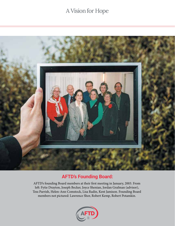

#### **AFTD's Founding Board:**

AFTD's founding Board members at their first meeting in January, 2003. From left: Fytie Drayton, Joseph Becker, Joyce Shenian, Jordan Grafman (advisor), Tess Parrish, Helen-Ann Comstock, Lisa Radin, Kent Jamison. Founding Board members not pictured: Lawrence Shor, Robert Kemp, Robert Potamkin.

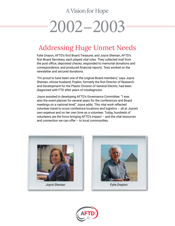# 2002–2003

### Addressing Huge Unmet Needs

Fytie Drayon, AFTD's first Board Treasurer, and Joyce Shenian, AFTD's first Board Secretary, each played vital roles. They collected mail from the post office, deposited checks, responded to memorial donations and correspondence, and produced financial reports. Tess worked on the newsletter and secured donations.

"I'm proud to have been one of the original Board members," says Joyce Shenian, whose husband, Popkin, formerly the first Director of Research and Development for the Plastic Division of General Electric, had been diagnosed with FTD after years of misdiagnosis.

Joyce assisted in developing AFTD's Governance Committee. "I was also the event planner for several years for the conferences and Board meetings on a national level," Joyce adds. This vital work reflected volunteer travel to scout conference locations and logistics – all at Joyce's own expense and on her own time as a volunteer. Today, hundreds of volunteers are the force bringing AFTD's impact – and the vital resources and connection we can offer – to local communities.





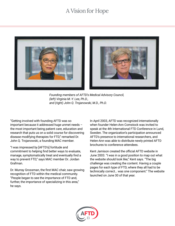

*Founding members of AFTD's Medical Advisory Council, (left) Virginia M.-Y. Lee, Ph.D., and (right) John Q. Trojanowski, M.D., Ph.D.*

"Getting involved with founding AFTD was so important because it addressed huge unmet needs – the most important being patient care, education and research that puts us on a solid course for discovering disease modifying therapies for FTD," remarked Dr. John Q. Trojanowski, a founding MAC member.

"I was impressed by [AFTD's] fortitude and commitment to helping find better ways to evaluate, manage, symptomatically treat and eventually find a way to prevent FTD," says MAC member Dr. Jordan Grafman.

Dr. Murray Grossman, the first MAC chair, saw growing recognition of FTD within the medical community. "People began to see the importance of FTD and, further, the importance of specializing in this area," he says.

In April 2003, AFTD was recognized internationally when founder Helen-Ann Comstock was invited to speak at the 4th International FTD Conference in Lund, Sweden. The organization's participation announced AFTD's presence to international researchers, and Helen-Ann was able to distribute newly printed AFTD brochures to conference attendees.

Kent Jamison created the official AFTD website in June 2003. "I was in a good position to map out what the website should look like," Kent says. "The big challenge was creating the content. Having a couple pages for each type of FTD, where they all had to be technically correct… was one component." The website launched on June 30 of that year.

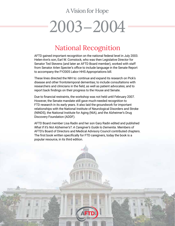# 2003–2004

### National Recognition

AFTD gained important recognition on the national federal level in July 2003. Helen-Ann's son, Earl W. Comstock, who was then Legislative Director for Senator Ted Stevens (and later an AFTD Board member), worked with staff from Senator Arlen Specter's office to include language in the Senate Report to accompany the FY2005 Labor HHS Appropriations bill.

These lines directed the NIH to: continue and expand its research on Pick's disease and other frontotemporal dementias; to include consultations with researchers and clinicians in the field, as well as patient advocates; and to report back findings on their progress to the House and Senate.

Due to financial restraints, the workshop was not held until February 2007. However, the Senate mandate still gave much-needed recognition to FTD research in its early years. It also laid the groundwork for important relationships with the National Institute of Neurological Disorders and Stroke (NINDS), the National Institute for Aging (NIA), and the Alzheimer's Drug Discovery Foundation (ADDF).

AFTD Board member Lisa Radin and her son Gary Radin edited and published *What If It's Not Alzheimer's?: A Caregiver's Guide to Dementia*. Members of AFTD's Board of Directors and Medical Advisory Council contributed chapters. The first book written specifically for FTD caregivers, today the book is a popular resource, in its third edition.

14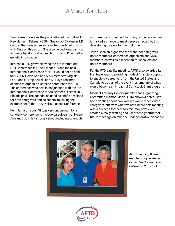Tess Parrish oversaw the publication of the first AFTD Newsletter in February 2004. Susan L-J Dickinson, MS, CGC, at that time a freelance writer, was hired to work with Tess on this effort. She also helped Kent Jamison to create handouts about each form of FTD, as well as genetic information.

Interest in FTD grew following the 4th International FTD Conference in Lund, Sweden. Since the next International Conference for FTD would not be held until 2006, Helen-Ann and MAC members Virginia Lee, John Q. Trojanowski and Murray Grossman decided to organize a satellite conference for FTD. The conference was held in conjunction with the 9th International Conference for Alzheimer's Disease in Philadelphia. The agenda included scientific sessions for both caregivers and scientists, following the example set at the 1999 Pick's Disease Conference.

Kent Jamison adds: "It was very uncommon for a scholarly conference to include caregivers, but Helen-Ann and I both felt strongly about including scientists

and caregivers together." For many of the researchers, it marked a chance to meet people affected by this devastating disease for the first time.

Joyce Shenian organized the dinner for caregivers, Board members, conference organizers and MAC members, as well as a reception for speakers and Board members.

For the FTD satellite meeting, AFTD also awarded its first travel grants, providing modest financial support to enable six caregivers from the United States and Canada to be part of the event in a template of what would become an impactful Comstock Grant program.

Medical Advisory Council member and Organizing Committee member John Q. Trojanowski notes: "We had anxieties about how well we would reach out to caregivers, but from what we have heard, this meeting was a success for them too. We may have even created a really exciting and user-friendly format for future meetings on other neurodegenerative diseases."



*AFTD founding Board members Joyce Shenian, Dr. Jordan Grafman and Helen-Ann Comstock.* 

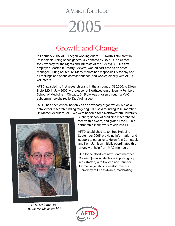# 2005

### Growth and Change

In February 2005, AFTD began working out of 100 North 17th Street in Philadelphia, using space generously donated by CARIE (The Center for Advocacy for the Rights and Interests of the Elderly). AFTD's first employee, Martha B. "Marty" Meyers, worked part-time as an office manager. During her tenure, Marty maintained responsibility for any and all mailings and phone correspondence, and worked closely with AFTD volunteers.

AFTD awarded its first research grant, in the amount of \$35,000, to Eileen Bigio, MD, in July 2005. A professor at Northwestern University Feinberg School of Medicine in Chicago, Dr. Bigio was chosen through a MAC subcommittee chaired by Dr. Virginia Lee.

"AFTD has been critical not only as an advocacy organization, but as a catalyst for research funding targeting FTD," said founding MAC member Dr. Marsel Mesulam, MD. "We were honored for a Northwestern University



*AFTD MAC member Dr. Marsel Mesulam, MD*

Feinberg School of Medicine researcher to receive this award, and grateful for AFTD's partnership in the work to address FTD."

AFTD established its toll-free HelpLine in September 2005, providing information and support to caregivers. Helen-Ann Comstock and Kent Jamison initially coordinated this effort, with help from MAC members.

Due to the efforts of new Board member Colleen Quinn, a telephone support group was started, with Colleen and Jennifer Farmer, a genetic counselor from the University of Pennsylvania, moderating.

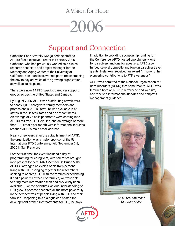# 2006

### Support and Connection

Catherine Pace-Savitsky, MA, joined the staff as AFTD's first Executive Director in February 2006. Catherine, who had previously worked as a clinical research associate and project manager for the Memory and Aging Center at the University of California, San Francisco, worked part-time overseeing the day-to-day activities of the growing organization, as well as its HelpLine.

There were now 14 FTD-specific caregiver support groups across the United States and Canada.

By August 2006, AFTD was distributing newsletters to nearly 1,000 caregivers, family members and professionals. AFTD literature was available in 46 states in the United States and on six continents. An average of 25 calls per month were coming in to AFTD's toll-free FTD HelpLine, and an average of more than 100 emails per month with informational inquiries reached AFTD's main email address.

Nearly three years after the establishment of AFTD, the organization was a major sponsor of the 5th International FTD Conference, held September 6-8, 2006 in San Francisco.

For the first time, the event included a day of programming for caregivers, with scientists brought in to present to them. MAC Member Dr. Bruce Miller of UCSF arranged an exhibit of art from persons living with FTD. "Bringing together the researchers seeking to address FTD with the families experiencing it had a powerful effect. For families, we were able to bring more information than had previously been available... For the scientists, as our understanding of FTD grew, it became anchored all the more powerfully in the perspectives of people living with FTD and their families. Deepening this dialogue can hasten the development of the first treatments for FTD," he says.

In addition to providing sponsorship funding for the Conference, AFTD hosted two dinners – one for caregivers and one for speakers. AFTD also funded several domestic and foreign caregiver travel grants. Helen-Ann received an award "in honor of her pioneering contributions to FTD awareness."

AFTD was admitted to the National Organization for Rare Disorders (NORD) that same month. AFTD was featured both on NORD's letterhead and website, and received informational updates and nonprofit management guidance.



*AFTD MAC member Dr. Bruce Miller*

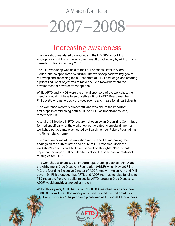# 2007–2008

### Increasing Awareness

The workshop mandated by language in the FY2005 Labor HHS Appropriations Bill, which was a direct result of advocacy by AFTD, finally came to fruition in January 2007.

The FTD Workshop was held at the Four Seasons Hotel in Miami, Florida, and co-sponsored by NINDS. The workshop had two key goals: reviewing and assessing the current state of FTD knowledge, and creating a prioritized list of objectives to move the field forward toward the development of new treatment options.

While AFTD and NINDS were the official sponsors of the workshop, the meeting would not have been possible without AFTD Board member Phil Lovett, who generously provided rooms and meals for all participants.

"The workshop was very successful and was one of the important first steps in establishing both AFTD and FTD as important causes," remembers Phil.

A total of 33 leaders in FTD research, chosen by an Organizing Committee formed specifically for the workshop, participated. A special dinner for workshop participants was hosted by Board member Robert Potamkin at his Fisher Island home.

The direct outcome of the workshop was a report summarizing the findings on the current state and future of FTD research. Upon the workshop's conclusion, Phil Lovett shared his thoughts: "Participants hope that this report will accelerate us along the path to new treatment strategies for FTD."

The workshop also started an important partnership between AFTD and the Alzheimer's Drug Discovery Foundation (ADDF), when Howard Fillit, MD, the founding Executive Director of ADDF, met with Helen-Ann and Phil Lovett. Dr. Fillit proposed that AFTD and ADDF team up to raise funding for FTD research. For every dollar raised by AFTD targeting Drug Discovery, ADDF would provide a two dollar match.

Within three years, AFTD had raised \$300,000, matched by an additional \$600,000 from ADDF. This money was used to seed the first grants for FTD Drug Discovery. "The partnership between AFTD and ADDF continues

18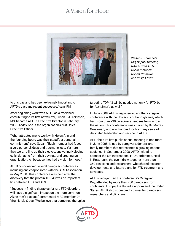

*Walter J. Koroshetz MD, Deputy Director, NINDS, with AFTD Board members Robert Potamkin and Philip Lovett.* 

to this day and has been extremely important to AFTD's past and recent successes," says Phil.

After beginning work with AFTD as a freelancer contributing to its first newsletter, Susan L-J Dickinson, MS, became AFTD's Executive Director in February 2008. Today, she is the organization's first Chief Executive Officer.

"What attracted me to work with Helen-Ann and the founding board was their steadfast personal commitment," says Susan. "Each member had faced a very personal, deep and traumatic loss. Yet here they were, rolling up their sleeves, answering HelpLine calls, donating from their savings, and creating an organization. All because they had a vision for hope."

AFTD cosponsored several caregiver conferences, including one cosponsored with the ALS Association in May 2008. This conference was held after the discovery that the protein TDP-43 was an important link between FTD and ALS.

"Success in finding therapies for rare FTD disorders will have a significant impact on the more common Alzheimer's disease," commented MAC member Dr. Virginia M.-Y. Lee. "We believe that combined therapies targeting TDP-43 will be needed not only for FTD, but for Alzheimer's as well."

In June 2008, AFTD cosponsored another caregiver conference with the University of Pennsylvania, which had more than 230 caregiver attendees from across the nation. This conference was chaired by Dr. Murray Grossman, who was honored for his many years of dedicated leadership and service to AFTD.

AFTD held its first public annual meeting in Baltimore in June 2008, joined by caregivers, donors, and family members that represented a growing national audience. In September 2008, AFTD helped to sponsor the 6th International FTD Conference. Held in Rotterdam, the event drew together more than 350 clinicians and researchers, who shared research developments and future plans for FTD treatment and advocacy.

AFTD co-organized the conference's Caregiver Day, attended by more than 200 caregivers from continental Europe, the United Kingdom and the United States. AFTD also sponsored a dinner for caregivers, researchers and clinicians.

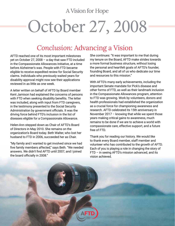# October 27, 2008

### *Conclusion:* Advancing a Vision

AFTD reached one of its most important milestones yet on October 27, 2008 – a day that saw FTD included in the Compassionate Allowances Initiative, at a time before Alzheimer's was. People with FTD became eligible to receive expedited review for Social Security claims. Individuals who previously waited years for disability approval might now see their applications reviewed in as little as one week.

A letter written on behalf of AFTD by Board member Kent Jamison had explained the concerns of persons with FTD when seeking disability benefits. The letter was included, along with input from FTD caregivers, in the testimony presented to the Social Security Administration by government officials. It was the driving force behind FTD's inclusion in the list of diseases eligible for a Compassionate Allowance.

Helen-Ann stepped down as Chair of AFTD's Board of Directors in May 2010. She remains on the organization's Board today. Beth Walter, who lost her husband to FTD in 2006, succeeded her as Chair.

"My family and I wanted to get involved since we had five family members affected," says Beth. "We needed answers. We didn't find AFTD until 2007, and I joined the board officially in 2008."

She continues: "It was important to me that during my tenure on the Board, AFTD make strides towards a more formal business structure, without losing the personal and heartfelt goals of AFTD's founder, founding Board, and all of us who dedicate our time and resources to this mission."

With AFTD's many early achievements, including the important Senate mandate for Pick's disease and other forms of FTD, as well as their landmark inclusion in the Compassionate Allowances program, attention to FTD was growing. Work by volunteers, donors and health professionals had established the organization as a crucial force for championing awareness and research. AFTD celebrated its 15th anniversary in November 2017 – knowing that while we spent those years making critical gains to awareness, much remains to be done if we are to achieve a world with compassionate care, effective support, and a future free of FTD.

Thank you for reading our history. We would like to thank every Board member, staff member and volunteer who has contributed to the growth of AFTD. Each of you is playing a role in changing the story of FTD – in seeing AFTD's mission advanced, and its vision achieved.

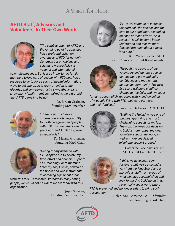#### **AFTD Staff, Advisors and Volunteers, In Their Own Words**



*"The establishment of AFTD and the ramping up of its activities had a profound effect on awareness of FTD for not only Congress but physicians and scientists – especially via national and international* 

*scientific meetings. But just as importantly, family members taking care of people with FTD now had a resource to go to for all sorts of helpful information, ways to get energized to draw attention to the disorder, and sometimes just a sympathetic ear. I know many family members I talked to were grateful that AFTD came into being."* 



Dr. Jordan Grafman, founding MAC member

*"There is so much more information available [on FTD] for both caregivers and people with FTD now than there was 15 years ago, and AFTD has played a crucial role."* 

> Dr. Murray Grossman, founding MAC Chair



*"Caring for my husband with FTD inspired me to devote my time, effort and financial support as a founding Board member. Later my son, Popkin, served on the Board and was instrumental in obtaining significant funds* 

*from NIH for FTD research. Without so many caring people, we would not be where we are today with this organization."* 

> Joyce Shenian, founding Board member



*"AFTD will continue to increase the outreach, the science and the care to our population, expanding on each of those efforts. As a result, FTD will become better understood and receive more focused attention about a need for a cure."* 

Beth Walter, former AFTD Board Chair and current Board member



*"Through the strength of our volunteers and donors, I see us continuing to grow and build confidence and momentum across our community. The next five years will bring significant change to this field, and I'm eager* 

*for us to accomplish key gains with – and on behalf of – people living with FTD, their care partners, and their families."* 



Susan L-J Dickinson, AFTD CEO

*"Staffing the HelpLine was one of the most gratifying and most challenging aspects of my job. The work informed our decision to build a more robust regional volunteer support network, as well as more specialized telephone support groups."*

Catherine Pace-Savitsky, MA, AFTD's first Executive Director



*"I think we have been very fortunate, but we've also had a very hard-working Board and a marvelous staff. I am proud of what we have accomplished and look forward to building on that. I eventually see a world where* 

*FTD is prevented and no longer exists to bring such devastation."* 

> Helen-Ann Comstock, AFTD founder and founding Board Chair